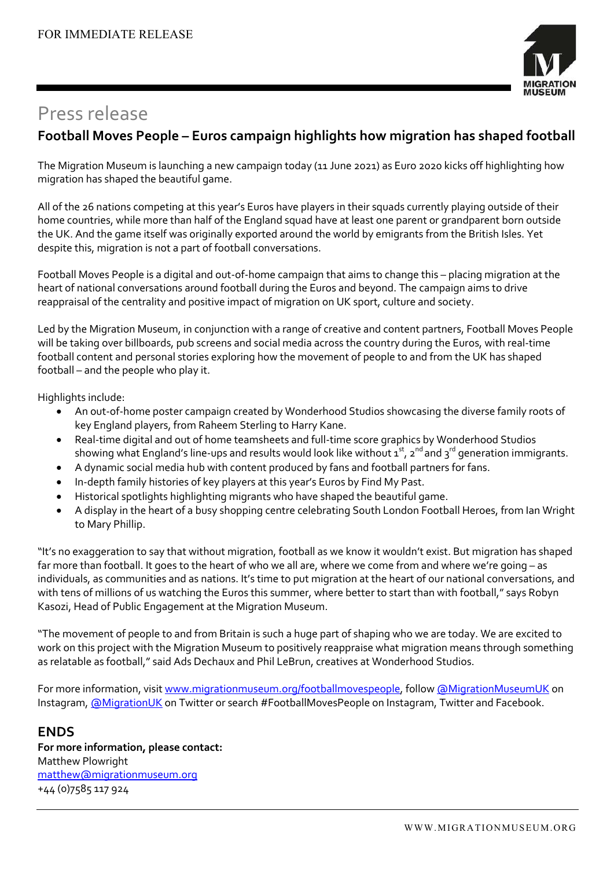

# Press release

### **Football Moves People – Euros campaign highlights how migration has shaped football**

The Migration Museum is launching a new campaign today (11 June 2021) as Euro 2020 kicks off highlighting how migration has shaped the beautiful game.

All of the 26 nations competing at this year's Euros have players in their squads currently playing outside of their home countries, while more than half of the England squad have at least one parent or grandparent born outside the UK. And the game itself was originally exported around the world by emigrants from the British Isles. Yet despite this, migration is not a part of football conversations.

Football Moves People is a digital and out-of-home campaign that aims to change this – placing migration at the heart of national conversations around football during the Euros and beyond. The campaign aims to drive reappraisal of the centrality and positive impact of migration on UK sport, culture and society.

Led by the Migration Museum, in conjunction with a range of creative and content partners, Football Moves People will be taking over billboards, pub screens and social media across the country during the Euros, with real-time football content and personal stories exploring how the movement of people to and from the UK has shaped football – and the people who play it.

Highlights include:

- An out-of-home poster campaign created by Wonderhood Studios showcasing the diverse family roots of key England players, from Raheem Sterling to Harry Kane.
- Real-time digital and out of home teamsheets and full-time score graphics by Wonderhood Studios showing what England's line-ups and results would look like without  $\mathtt{1}^\text{st}$ ,  $\mathtt{2}^\text{nd}$  and  $\mathtt{3}^\text{rd}$  generation immigrants.
- A dynamic social media hub with content produced by fans and football partners for fans.
- In-depth family histories of key players at this year's Euros by Find My Past.
- Historical spotlights highlighting migrants who have shaped the beautiful game.
- A display in the heart of a busy shopping centre celebrating South London Football Heroes, from Ian Wright to Mary Phillip.

"It's no exaggeration to say that without migration, football as we know it wouldn't exist. But migration has shaped far more than football. It goes to the heart of who we all are, where we come from and where we're going – as individuals, as communities and as nations. It's time to put migration at the heart of our national conversations, and with tens of millions of us watching the Euros this summer, where better to start than with football," says Robyn Kasozi, Head of Public Engagement at the Migration Museum.

"The movement of people to and from Britain is such a huge part of shaping who we are today. We are excited to work on this project with the Migration Museum to positively reappraise what migration means through something as relatable as football," said Ads Dechaux and Phil LeBrun, creatives at Wonderhood Studios.

For more information, visit [www.migrationmuseum.org/footballmovespeople,](https://www.migrationmuseum.org/footballmovespeople/) follow [@MigrationMuseumUK](https://www.instagram.com/migrationmuseumuk/) on Instagram, [@MigrationUK](https://twitter.com/MigrationUK) on Twitter or search #FootballMovesPeople on Instagram, Twitter and Facebook.

#### **ENDS**

**For more information, please contact:** Matthew Plowright [matthew@migrationmuseum.org](mailto:matthew@migrationmuseum.org) +44 (0)7585 117 924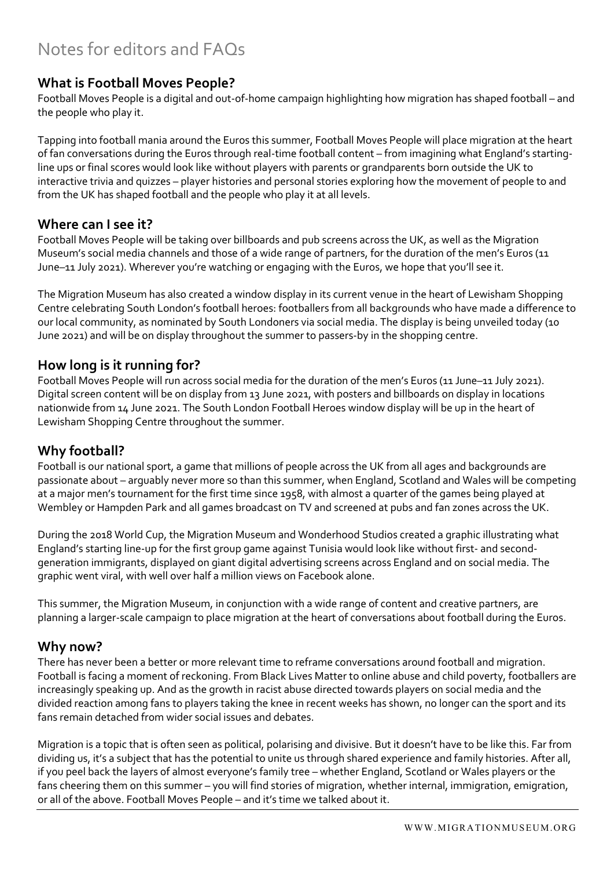# Notes for editors and FAQs

#### **What is Football Moves People?**

Football Moves People is a digital and out-of-home campaign highlighting how migration has shaped football – and the people who play it.

Tapping into football mania around the Euros this summer, Football Moves People will place migration at the heart of fan conversations during the Euros through real-time football content – from imagining what England's startingline ups or final scores would look like without players with parents or grandparents born outside the UK to interactive trivia and quizzes – player histories and personal stories exploring how the movement of people to and from the UK has shaped football and the people who play it at all levels.

#### **Where can I see it?**

Football Moves People will be taking over billboards and pub screens across the UK, as well as the Migration Museum's social media channels and those of a wide range of partners, for the duration of the men's Euros (11 June–11 July 2021). Wherever you're watching or engaging with the Euros, we hope that you'll see it.

The Migration Museum has also created a window display in its current venue in the heart of Lewisham Shopping Centre celebrating South London's football heroes: footballers from all backgrounds who have made a difference to our local community, as nominated by South Londoners via social media. The display is being unveiled today (10 June 2021) and will be on display throughout the summer to passers-by in the shopping centre.

#### **How long is it running for?**

Football Moves People will run across social media for the duration of the men's Euros (11 June–11 July 2021). Digital screen content will be on display from 13 June 2021, with posters and billboards on display in locations nationwide from 14 June 2021. The South London Football Heroes window display will be up in the heart of Lewisham Shopping Centre throughout the summer.

#### **Why football?**

Football is our national sport, a game that millions of people across the UK from all ages and backgrounds are passionate about – arguably never more so than this summer, when England, Scotland and Wales will be competing at a major men's tournament for the first time since 1958, with almost a quarter of the games being played at Wembley or Hampden Park and all games broadcast on TV and screened at pubs and fan zones across the UK.

During the 2018 World Cup, the Migration Museum and Wonderhood Studios created a graphic illustrating what England's starting line-up for the first group game against Tunisia would look like without first- and secondgeneration immigrants, displayed on giant digital advertising screens across England and on social media. The graphic went viral, with well over half a million views on Facebook alone.

This summer, the Migration Museum, in conjunction with a wide range of content and creative partners, are planning a larger-scale campaign to place migration at the heart of conversations about football during the Euros.

#### **Why now?**

There has never been a better or more relevant time to reframe conversations around football and migration. Football is facing a moment of reckoning. From Black Lives Matter to online abuse and child poverty, footballers are increasingly speaking up. And as the growth in racist abuse directed towards players on social media and the divided reaction among fans to players taking the knee in recent weeks has shown, no longer can the sport and its fans remain detached from wider social issues and debates.

Migration is a topic that is often seen as political, polarising and divisive. But it doesn't have to be like this. Far from dividing us, it's a subject that has the potential to unite us through shared experience and family histories. After all, if you peel back the layers of almost everyone's family tree – whether England, Scotland or Wales players or the fans cheering them on this summer – you will find stories of migration, whether internal, immigration, emigration, or all of the above. Football Moves People – and it's time we talked about it.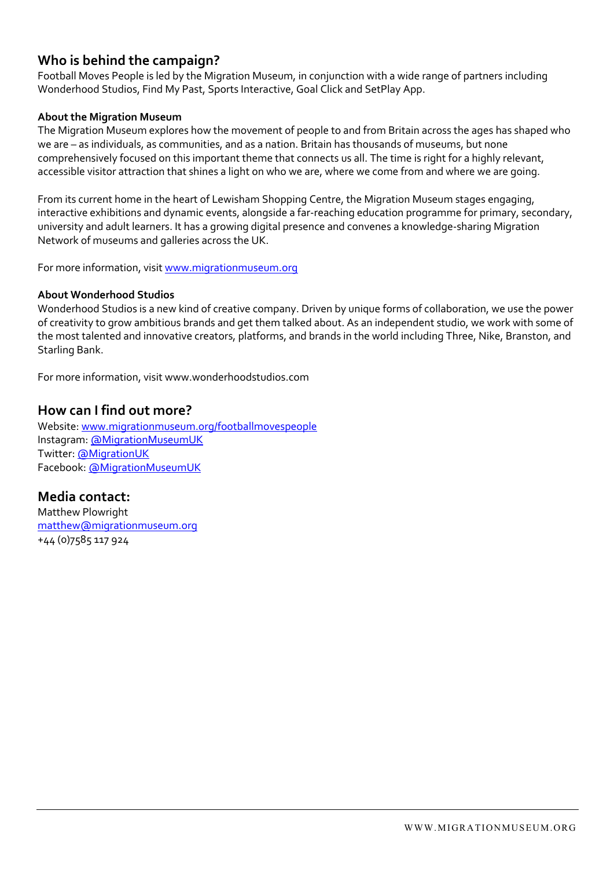### **Who is behind the campaign?**

Football Moves People is led by the Migration Museum, in conjunction with a wide range of partners including Wonderhood Studios, Find My Past, Sports Interactive, Goal Click and SetPlay App.

#### **About the Migration Museum**

The Migration Museum explores how the movement of people to and from Britain across the ages has shaped who we are – as individuals, as communities, and as a nation. Britain has thousands of museums, but none comprehensively focused on this important theme that connects us all. The time is right for a highly relevant, accessible visitor attraction that shines a light on who we are, where we come from and where we are going.

From its current home in the heart of Lewisham Shopping Centre, the Migration Museum stages engaging, interactive exhibitions and dynamic events, alongside a far-reaching education programme for primary, secondary, university and adult learners. It has a growing digital presence and convenes a knowledge-sharing Migration Network of museums and galleries across the UK.

For more information, visit [www.migrationmuseum.org](https://www.migrationmuseum.org/)

#### **About Wonderhood Studios**

Wonderhood Studios is a new kind of creative company. Driven by unique forms of collaboration, we use the power of creativity to grow ambitious brands and get them talked about. As an independent studio, we work with some of the most talented and innovative creators, platforms, and brands in the world including Three, Nike, Branston, and Starling Bank.

For more information, visit www.wonderhoodstudios.com

#### **How can I find out more?**

Website: [www.migrationmuseum.org/footballmovespeople](https://www.migrationmuseum.org/footballmovespeople/) Instagram: [@MigrationMuseumUK](https://www.instagram.com/migrationmuseumuk/) Twitter: [@MigrationUK](https://twitter.com/MigrationUK) Facebook: [@MigrationMuseumUK](https://www.facebook.com/MigrationMuseumUK)

**Media contact:** Matthew Plowright

[matthew@migrationmuseum.org](mailto:matthew@migrationmuseum.org) +44 (0)7585 117 924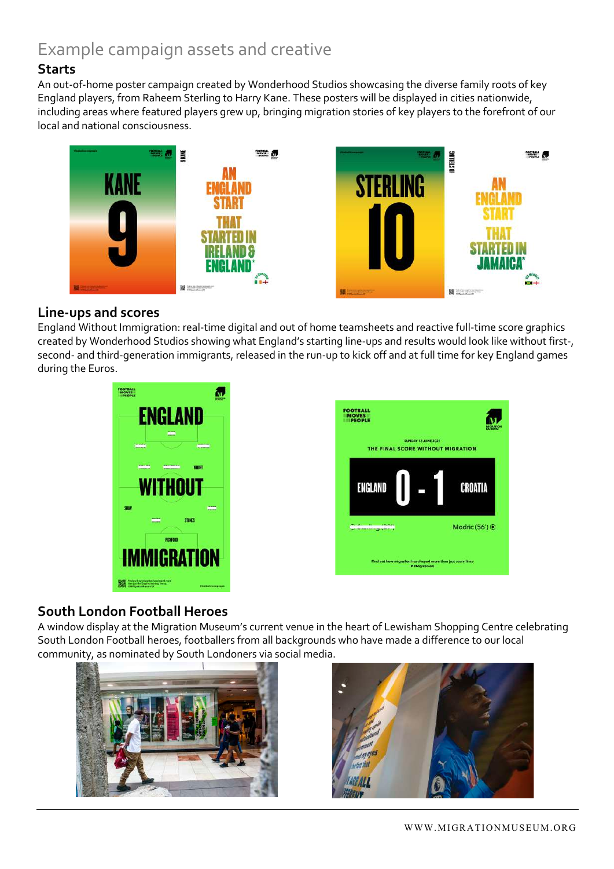# Example campaign assets and creative

## **Starts**

An out-of-home poster campaign created by Wonderhood Studios showcasing the diverse family roots of key England players, from Raheem Sterling to Harry Kane. These posters will be displayed in cities nationwide, including areas where featured players grew up, bringing migration stories of key players to the forefront of our local and national consciousness.



#### **Line-ups and scores**

England Without Immigration: real-time digital and out of home teamsheets and reactive full-time score graphics created by Wonderhood Studios showing what England's starting line-ups and results would look like without first-, second- and third-generation immigrants, released in the run-up to kick off and at full time for key England games during the Euros.





## **South London Football Heroes**

A window display at the Migration Museum's current venue in the heart of Lewisham Shopping Centre celebrating South London Football heroes, footballers from all backgrounds who have made a difference to our local community, as nominated by South Londoners via social media.